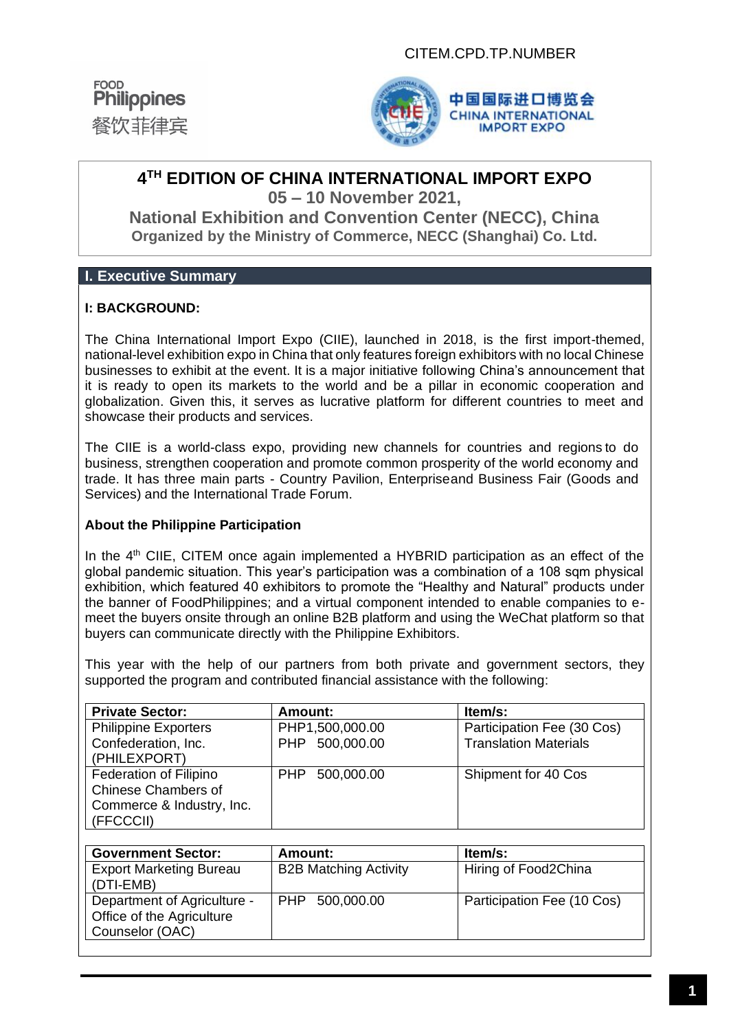



# **4 TH EDITION OF CHINA INTERNATIONAL IMPORT EXPO 05 – 10 November 2021,**

**National Exhibition and Convention Center (NECC), China Organized by the Ministry of Commerce, NECC (Shanghai) Co. Ltd.**

# **I. Executive Summary**

### **I: BACKGROUND:**

The China International Import Expo (CIIE), launched in 2018, is the first import-themed, national-level exhibition expo in China that only features foreign exhibitors with no local Chinese businesses to exhibit at the event. It is a major initiative following China's announcement that it is ready to open its markets to the world and be a pillar in economic cooperation and globalization. Given this, it serves as lucrative platform for different countries to meet and showcase their products and services.

The CIIE is a world-class expo, providing new channels for countries and regions to do business, strengthen cooperation and promote common prosperity of the world economy and trade. It has three main parts - Country Pavilion, Enterpriseand Business Fair (Goods and Services) and the International Trade Forum.

#### **About the Philippine Participation**

In the 4<sup>th</sup> CIIE, CITEM once again implemented a HYBRID participation as an effect of the global pandemic situation. This year's participation was a combination of a 108 sqm physical exhibition, which featured 40 exhibitors to promote the "Healthy and Natural" products under the banner of FoodPhilippines; and a virtual component intended to enable companies to emeet the buyers onsite through an online B2B platform and using the WeChat platform so that buyers can communicate directly with the Philippine Exhibitors.

This year with the help of our partners from both private and government sectors, they supported the program and contributed financial assistance with the following:

| <b>Private Sector:</b>                                                                         | Amount:         | <b>Item/s:</b>               |
|------------------------------------------------------------------------------------------------|-----------------|------------------------------|
| <b>Philippine Exporters</b>                                                                    | PHP1,500,000.00 | Participation Fee (30 Cos)   |
| Confederation, Inc.<br>(PHILEXPORT)                                                            | PHP 500,000.00  | <b>Translation Materials</b> |
| <b>Federation of Filipino</b><br>Chinese Chambers of<br>Commerce & Industry, Inc.<br>(FFCCCII) | PHP 500,000.00  | Shipment for 40 Cos          |

| <b>Government Sector:</b>                                                   | Amount:                      | ltem/s:                    |
|-----------------------------------------------------------------------------|------------------------------|----------------------------|
| <b>Export Marketing Bureau</b><br>(DTI-EMB)                                 | <b>B2B Matching Activity</b> | Hiring of Food2China       |
| Department of Agriculture -<br>Office of the Agriculture<br>Counselor (OAC) | PHP 500,000.00               | Participation Fee (10 Cos) |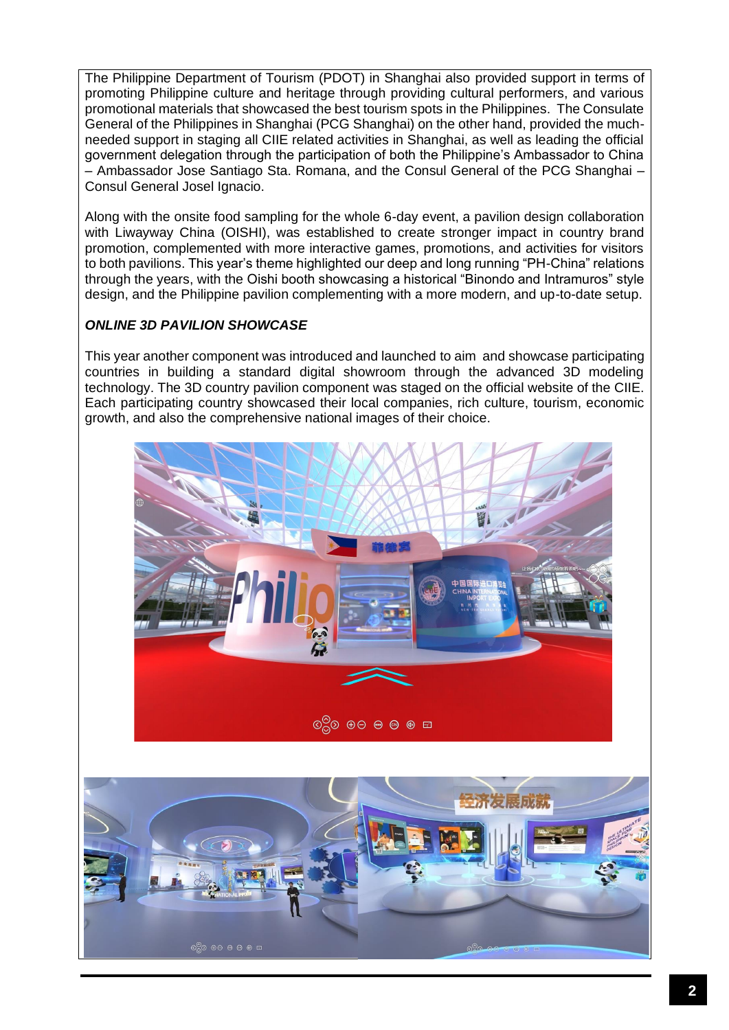The Philippine Department of Tourism (PDOT) in Shanghai also provided support in terms of promoting Philippine culture and heritage through providing cultural performers, and various promotional materials that showcased the best tourism spots in the Philippines. The Consulate General of the Philippines in Shanghai (PCG Shanghai) on the other hand, provided the muchneeded support in staging all CIIE related activities in Shanghai, as well as leading the official government delegation through the participation of both the Philippine's Ambassador to China – Ambassador Jose Santiago Sta. Romana, and the Consul General of the PCG Shanghai – Consul General Josel Ignacio.

Along with the onsite food sampling for the whole 6-day event, a pavilion design collaboration with Liwayway China (OISHI), was established to create stronger impact in country brand promotion, complemented with more interactive games, promotions, and activities for visitors to both pavilions. This year's theme highlighted our deep and long running "PH-China" relations through the years, with the Oishi booth showcasing a historical "Binondo and Intramuros" style design, and the Philippine pavilion complementing with a more modern, and up-to-date setup.

# *ONLINE 3D PAVILION SHOWCASE*

This year another component was introduced and launched to aim and showcase participating countries in building a standard digital showroom through the advanced 3D modeling technology. The 3D country pavilion component was staged on the official website of the CIIE. Each participating country showcased their local companies, rich culture, tourism, economic growth, and also the comprehensive national images of their choice.